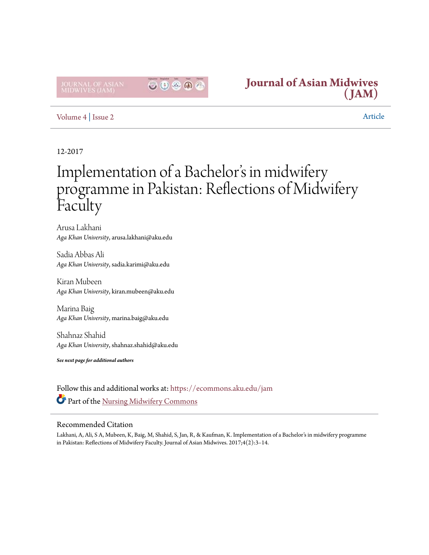

## **[Journal of Asian Midwives](https://ecommons.aku.edu/jam?utm_source=ecommons.aku.edu%2Fjam%2Fvol4%2Fiss2%2F2&utm_medium=PDF&utm_campaign=PDFCoverPages) [\(JAM\)](https://ecommons.aku.edu/jam?utm_source=ecommons.aku.edu%2Fjam%2Fvol4%2Fiss2%2F2&utm_medium=PDF&utm_campaign=PDFCoverPages)**

### [Volume 4](https://ecommons.aku.edu/jam/vol4?utm_source=ecommons.aku.edu%2Fjam%2Fvol4%2Fiss2%2F2&utm_medium=PDF&utm_campaign=PDFCoverPages) | [Issue 2](https://ecommons.aku.edu/jam/vol4/iss2?utm_source=ecommons.aku.edu%2Fjam%2Fvol4%2Fiss2%2F2&utm_medium=PDF&utm_campaign=PDFCoverPages) Article

## 12-2017

# Implementation of a Bachelor's in midwifery programme in Pakistan: Reflections of Midwifery Faculty

Arusa Lakhani *Aga Khan University*, arusa.lakhani@aku.edu

Sadia Abbas Ali *Aga Khan University*, sadia.karimi@aku.edu

Kiran Mubeen *Aga Khan University*, kiran.mubeen@aku.edu

Marina Baig *Aga Khan University*, marina.baig@aku.edu

Shahnaz Shahid *Aga Khan University*, shahnaz.shahid@aku.edu

*See next page for additional authors*

Follow this and additional works at: [https://ecommons.aku.edu/jam](https://ecommons.aku.edu/jam?utm_source=ecommons.aku.edu%2Fjam%2Fvol4%2Fiss2%2F2&utm_medium=PDF&utm_campaign=PDFCoverPages) Part of the [Nursing Midwifery Commons](http://network.bepress.com/hgg/discipline/722?utm_source=ecommons.aku.edu%2Fjam%2Fvol4%2Fiss2%2F2&utm_medium=PDF&utm_campaign=PDFCoverPages)

#### Recommended Citation

Lakhani, A, Ali, S A, Mubeen, K, Baig, M, Shahid, S, Jan, R, & Kaufman, K. Implementation of a Bachelor's in midwifery programme in Pakistan: Reflections of Midwifery Faculty. Journal of Asian Midwives. 2017;4(2):3–14.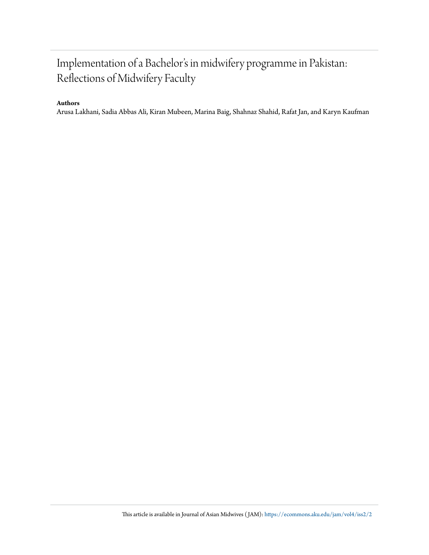## Implementation of a Bachelor's in midwifery programme in Pakistan: Reflections of Midwifery Faculty

#### **Authors**

Arusa Lakhani, Sadia Abbas Ali, Kiran Mubeen, Marina Baig, Shahnaz Shahid, Rafat Jan, and Karyn Kaufman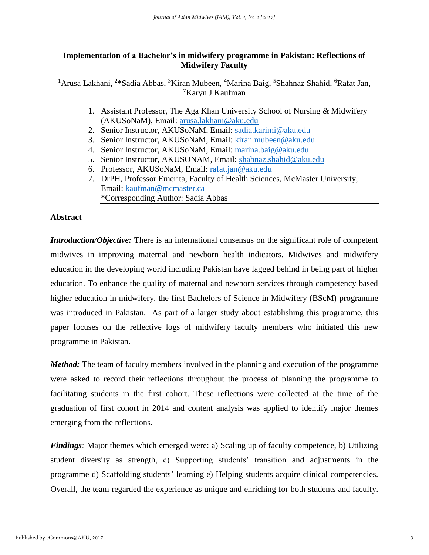#### **Implementation of a Bachelor's in midwifery programme in Pakistan: Reflections of Midwifery Faculty**

<sup>1</sup> Arusa Lakhani, <sup>2\*</sup>Sadia Abbas, <sup>3</sup>Kiran Mubeen, <sup>4</sup>Marina Baig, <sup>5</sup>Shahnaz Shahid, <sup>6</sup>Rafat Jan, <sup>7</sup>Karyn J Kaufman

- 1. Assistant Professor, The Aga Khan University School of Nursing & Midwifery (AKUSoNaM), Email: [arusa.lakhani@aku.edu](mailto:arusa.lakhani@aku.edu)
- 2. Senior Instructor, AKUSoNaM, Email: [sadia.karimi@aku.edu](mailto:sadia.karimi@aku.edu)
- 3. Senior Instructor, AKUSoNaM, Email: [kiran.mubeen@aku.edu](mailto:kiran.mubeen@aku.edu)
- 4. Senior Instructor, AKUSoNaM, Email: [marina.baig@aku.edu](mailto:marina.baig@aku.edu)
- 5. Senior Instructor, AKUSONAM, Email: shahnaz.shahid@aku.edu
- 6. Professor, AKUSoNaM, Email: [rafat.jan@aku.edu](mailto:rafat.jan@aku.edu)
- 7. DrPH, Professor Emerita, Faculty of Health Sciences, McMaster University, Email: [kaufman@mcmaster.ca](mailto:kaufman@mcmaster.ca) \*Corresponding Author: Sadia Abbas

#### **Abstract**

*Introduction/Objective:* There is an international consensus on the significant role of competent midwives in improving maternal and newborn health indicators. Midwives and midwifery education in the developing world including Pakistan have lagged behind in being part of higher education. To enhance the quality of maternal and newborn services through competency based higher education in midwifery, the first Bachelors of Science in Midwifery (BScM) programme was introduced in Pakistan. As part of a larger study about establishing this programme, this paper focuses on the reflective logs of midwifery faculty members who initiated this new programme in Pakistan.

*Method:* The team of faculty members involved in the planning and execution of the programme were asked to record their reflections throughout the process of planning the programme to facilitating students in the first cohort. These reflections were collected at the time of the graduation of first cohort in 2014 and content analysis was applied to identify major themes emerging from the reflections.

*Findings:* Major themes which emerged were: a) Scaling up of faculty competence, b) Utilizing student diversity as strength, c) Supporting students' transition and adjustments in the programme d) Scaffolding students' learning e) Helping students acquire clinical competencies. Overall, the team regarded the experience as unique and enriching for both students and faculty.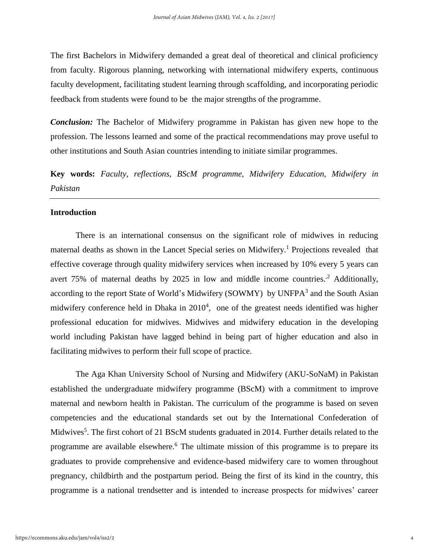The first Bachelors in Midwifery demanded a great deal of theoretical and clinical proficiency from faculty. Rigorous planning, networking with international midwifery experts, continuous faculty development, facilitating student learning through scaffolding, and incorporating periodic feedback from students were found to be the major strengths of the programme.

*Conclusion:* The Bachelor of Midwifery programme in Pakistan has given new hope to the profession. The lessons learned and some of the practical recommendations may prove useful to other institutions and South Asian countries intending to initiate similar programmes.

**Key words:** *Faculty, reflections, BScM programme, Midwifery Education, Midwifery in Pakistan*

#### **Introduction**

There is an international consensus on the significant role of midwives in reducing maternal deaths as shown in the Lancet Special series on Midwifery.<sup>1</sup> Projections revealed that effective coverage through quality midwifery services when increased by 10% every 5 years can avert 75% of maternal deaths by 2025 in low and middle income countries.<sup>2</sup> Additionally, according to the report State of World's Midwifery (SOWMY) by UNFPA<sup>3</sup> and the South Asian midwifery conference held in Dhaka in  $2010<sup>4</sup>$ , one of the greatest needs identified was higher professional education for midwives. Midwives and midwifery education in the developing world including Pakistan have lagged behind in being part of higher education and also in facilitating midwives to perform their full scope of practice.

The Aga Khan University School of Nursing and Midwifery (AKU-SoNaM) in Pakistan established the undergraduate midwifery programme (BScM) with a commitment to improve maternal and newborn health in Pakistan. The curriculum of the programme is based on seven competencies and the educational standards set out by the International Confederation of Midwives<sup>5</sup>. The first cohort of 21 BScM students graduated in 2014. Further details related to the programme are available elsewhere. <sup>6</sup> The ultimate mission of this programme is to prepare its graduates to provide comprehensive and evidence-based midwifery care to women throughout pregnancy, childbirth and the postpartum period. Being the first of its kind in the country, this programme is a national trendsetter and is intended to increase prospects for midwives' career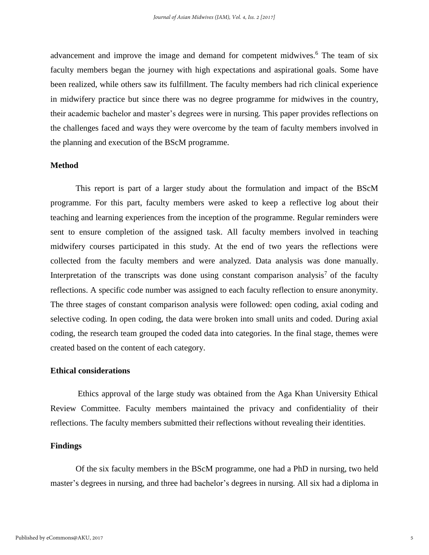advancement and improve the image and demand for competent midwives.<sup>6</sup> The team of six faculty members began the journey with high expectations and aspirational goals. Some have been realized, while others saw its fulfillment. The faculty members had rich clinical experience in midwifery practice but since there was no degree programme for midwives in the country, their academic bachelor and master's degrees were in nursing. This paper provides reflections on the challenges faced and ways they were overcome by the team of faculty members involved in the planning and execution of the BScM programme.

#### **Method**

This report is part of a larger study about the formulation and impact of the BScM programme. For this part, faculty members were asked to keep a reflective log about their teaching and learning experiences from the inception of the programme. Regular reminders were sent to ensure completion of the assigned task. All faculty members involved in teaching midwifery courses participated in this study. At the end of two years the reflections were collected from the faculty members and were analyzed. Data analysis was done manually. Interpretation of the transcripts was done using constant comparison analysis<sup>7</sup> of the faculty reflections. A specific code number was assigned to each faculty reflection to ensure anonymity. The three stages of constant comparison analysis were followed: open coding, axial coding and selective coding. In open coding, the data were broken into small units and coded. During axial coding, the research team grouped the coded data into categories. In the final stage, themes were created based on the content of each category.

#### **Ethical considerations**

Ethics approval of the large study was obtained from the Aga Khan University Ethical Review Committee. Faculty members maintained the privacy and confidentiality of their reflections. The faculty members submitted their reflections without revealing their identities.

#### **Findings**

Of the six faculty members in the BScM programme, one had a PhD in nursing, two held master's degrees in nursing, and three had bachelor's degrees in nursing. All six had a diploma in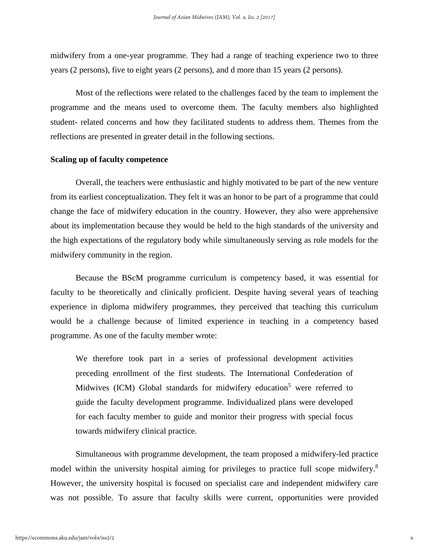midwifery from a one-year programme. They had a range of teaching experience two to three years (2 persons), five to eight years (2 persons), and d more than 15 years (2 persons).

Most of the reflections were related to the challenges faced by the team to implement the programme and the means used to overcome them. The faculty members also highlighted student- related concerns and how they facilitated students to address them. Themes from the reflections are presented in greater detail in the following sections.

#### **Scaling up of faculty competence**

Overall, the teachers were enthusiastic and highly motivated to be part of the new venture from its earliest conceptualization. They felt it was an honor to be part of a programme that could change the face of midwifery education in the country. However, they also were apprehensive about its implementation because they would be held to the high standards of the university and the high expectations of the regulatory body while simultaneously serving as role models for the midwifery community in the region.

Because the BScM programme curriculum is competency based, it was essential for faculty to be theoretically and clinically proficient. Despite having several years of teaching experience in diploma midwifery programmes, they perceived that teaching this curriculum would be a challenge because of limited experience in teaching in a competency based programme. As one of the faculty member wrote:

We therefore took part in a series of professional development activities preceding enrollment of the first students. The International Confederation of Midwives (ICM) Global standards for midwifery education<sup>5</sup> were referred to guide the faculty development programme. Individualized plans were developed for each faculty member to guide and monitor their progress with special focus towards midwifery clinical practice.

Simultaneous with programme development, the team proposed a midwifery-led practice model within the university hospital aiming for privileges to practice full scope midwifery.<sup>8</sup> However, the university hospital is focused on specialist care and independent midwifery care was not possible. To assure that faculty skills were current, opportunities were provided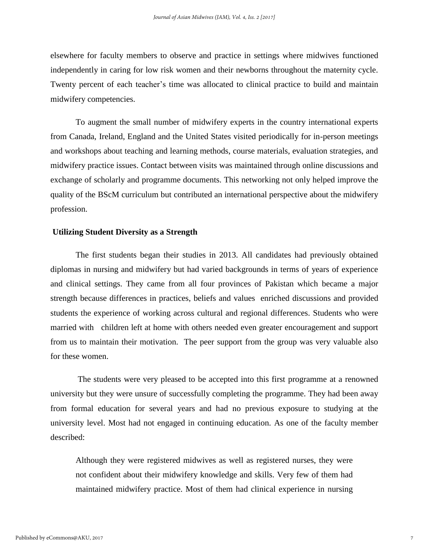elsewhere for faculty members to observe and practice in settings where midwives functioned independently in caring for low risk women and their newborns throughout the maternity cycle. Twenty percent of each teacher's time was allocated to clinical practice to build and maintain midwifery competencies.

To augment the small number of midwifery experts in the country international experts from Canada, Ireland, England and the United States visited periodically for in-person meetings and workshops about teaching and learning methods, course materials, evaluation strategies, and midwifery practice issues. Contact between visits was maintained through online discussions and exchange of scholarly and programme documents. This networking not only helped improve the quality of the BScM curriculum but contributed an international perspective about the midwifery profession.

#### **Utilizing Student Diversity as a Strength**

The first students began their studies in 2013. All candidates had previously obtained diplomas in nursing and midwifery but had varied backgrounds in terms of years of experience and clinical settings. They came from all four provinces of Pakistan which became a major strength because differences in practices, beliefs and values enriched discussions and provided students the experience of working across cultural and regional differences. Students who were married with children left at home with others needed even greater encouragement and support from us to maintain their motivation. The peer support from the group was very valuable also for these women.

The students were very pleased to be accepted into this first programme at a renowned university but they were unsure of successfully completing the programme. They had been away from formal education for several years and had no previous exposure to studying at the university level. Most had not engaged in continuing education. As one of the faculty member described:

Although they were registered midwives as well as registered nurses, they were not confident about their midwifery knowledge and skills. Very few of them had maintained midwifery practice. Most of them had clinical experience in nursing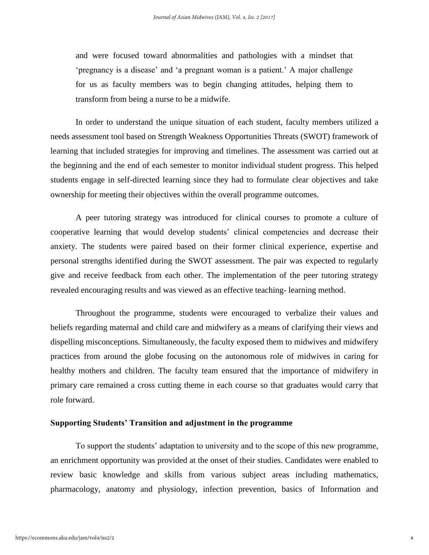and were focused toward abnormalities and pathologies with a mindset that 'pregnancy is a disease' and 'a pregnant woman is a patient.' A major challenge for us as faculty members was to begin changing attitudes, helping them to transform from being a nurse to be a midwife.

In order to understand the unique situation of each student, faculty members utilized a needs assessment tool based on Strength Weakness Opportunities Threats (SWOT) framework of learning that included strategies for improving and timelines. The assessment was carried out at the beginning and the end of each semester to monitor individual student progress. This helped students engage in self-directed learning since they had to formulate clear objectives and take ownership for meeting their objectives within the overall programme outcomes.

A peer tutoring strategy was introduced for clinical courses to promote a culture of cooperative learning that would develop students' clinical competencies and decrease their anxiety. The students were paired based on their former clinical experience, expertise and personal strengths identified during the SWOT assessment. The pair was expected to regularly give and receive feedback from each other. The implementation of the peer tutoring strategy revealed encouraging results and was viewed as an effective teaching- learning method.

Throughout the programme, students were encouraged to verbalize their values and beliefs regarding maternal and child care and midwifery as a means of clarifying their views and dispelling misconceptions. Simultaneously, the faculty exposed them to midwives and midwifery practices from around the globe focusing on the autonomous role of midwives in caring for healthy mothers and children. The faculty team ensured that the importance of midwifery in primary care remained a cross cutting theme in each course so that graduates would carry that role forward.

#### **Supporting Students' Transition and adjustment in the programme**

To support the students' adaptation to university and to the scope of this new programme, an enrichment opportunity was provided at the onset of their studies. Candidates were enabled to review basic knowledge and skills from various subject areas including mathematics, pharmacology, anatomy and physiology, infection prevention, basics of Information and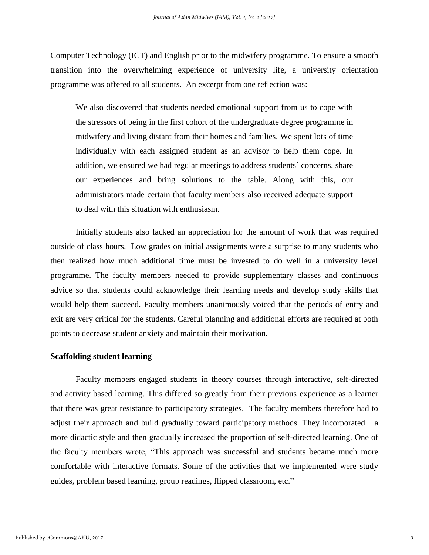Computer Technology (ICT) and English prior to the midwifery programme. To ensure a smooth transition into the overwhelming experience of university life, a university orientation programme was offered to all students. An excerpt from one reflection was:

We also discovered that students needed emotional support from us to cope with the stressors of being in the first cohort of the undergraduate degree programme in midwifery and living distant from their homes and families. We spent lots of time individually with each assigned student as an advisor to help them cope. In addition, we ensured we had regular meetings to address students' concerns, share our experiences and bring solutions to the table. Along with this, our administrators made certain that faculty members also received adequate support to deal with this situation with enthusiasm.

Initially students also lacked an appreciation for the amount of work that was required outside of class hours. Low grades on initial assignments were a surprise to many students who then realized how much additional time must be invested to do well in a university level programme. The faculty members needed to provide supplementary classes and continuous advice so that students could acknowledge their learning needs and develop study skills that would help them succeed. Faculty members unanimously voiced that the periods of entry and exit are very critical for the students. Careful planning and additional efforts are required at both points to decrease student anxiety and maintain their motivation.

#### **Scaffolding student learning**

Faculty members engaged students in theory courses through interactive, self-directed and activity based learning. This differed so greatly from their previous experience as a learner that there was great resistance to participatory strategies. The faculty members therefore had to adjust their approach and build gradually toward participatory methods. They incorporated a more didactic style and then gradually increased the proportion of self-directed learning. One of the faculty members wrote, "This approach was successful and students became much more comfortable with interactive formats. Some of the activities that we implemented were study guides, problem based learning, group readings, flipped classroom, etc."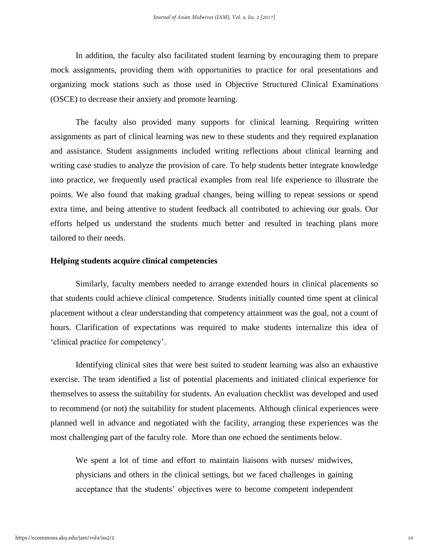In addition, the faculty also facilitated student learning by encouraging them to prepare mock assignments, providing them with opportunities to practice for oral presentations and organizing mock stations such as those used in Objective Structured Clinical Examinations (OSCE) to decrease their anxiety and promote learning.

The faculty also provided many supports for clinical learning. Requiring written assignments as part of clinical learning was new to these students and they required explanation and assistance. Student assignments included writing reflections about clinical learning and writing case studies to analyze the provision of care. To help students better integrate knowledge into practice, we frequently used practical examples from real life experience to illustrate the points. We also found that making gradual changes, being willing to repeat sessions or spend extra time, and being attentive to student feedback all contributed to achieving our goals. Our efforts helped us understand the students much better and resulted in teaching plans more tailored to their needs.

#### **Helping students acquire clinical competencies**

Similarly, faculty members needed to arrange extended hours in clinical placements so that students could achieve clinical competence. Students initially counted time spent at clinical placement without a clear understanding that competency attainment was the goal, not a count of hours. Clarification of expectations was required to make students internalize this idea of 'clinical practice for competency'.

Identifying clinical sites that were best suited to student learning was also an exhaustive exercise. The team identified a list of potential placements and initiated clinical experience for themselves to assess the suitability for students. An evaluation checklist was developed and used to recommend (or not) the suitability for student placements. Although clinical experiences were planned well in advance and negotiated with the facility, arranging these experiences was the most challenging part of the faculty role. More than one echoed the sentiments below.

We spent a lot of time and effort to maintain liaisons with nurses/ midwives, physicians and others in the clinical settings, but we faced challenges in gaining acceptance that the students' objectives were to become competent independent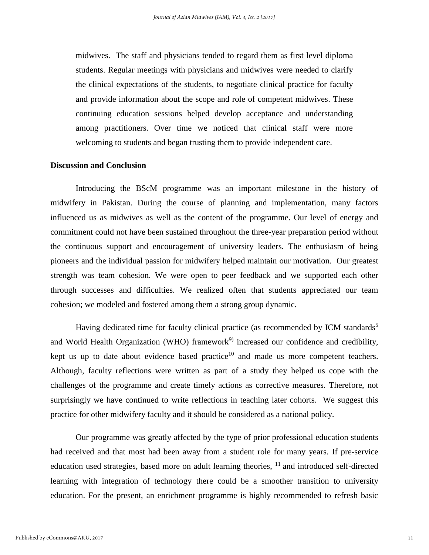midwives. The staff and physicians tended to regard them as first level diploma students. Regular meetings with physicians and midwives were needed to clarify the clinical expectations of the students, to negotiate clinical practice for faculty and provide information about the scope and role of competent midwives. These continuing education sessions helped develop acceptance and understanding among practitioners. Over time we noticed that clinical staff were more welcoming to students and began trusting them to provide independent care.

#### **Discussion and Conclusion**

Introducing the BScM programme was an important milestone in the history of midwifery in Pakistan. During the course of planning and implementation, many factors influenced us as midwives as well as the content of the programme. Our level of energy and commitment could not have been sustained throughout the three-year preparation period without the continuous support and encouragement of university leaders. The enthusiasm of being pioneers and the individual passion for midwifery helped maintain our motivation. Our greatest strength was team cohesion. We were open to peer feedback and we supported each other through successes and difficulties. We realized often that students appreciated our team cohesion; we modeled and fostered among them a strong group dynamic.

Having dedicated time for faculty clinical practice (as recommended by ICM standards<sup>5</sup> and World Health Organization (WHO) framework<sup>9)</sup> increased our confidence and credibility, kept us up to date about evidence based practice<sup>10</sup> and made us more competent teachers. Although, faculty reflections were written as part of a study they helped us cope with the challenges of the programme and create timely actions as corrective measures. Therefore, not surprisingly we have continued to write reflections in teaching later cohorts. We suggest this practice for other midwifery faculty and it should be considered as a national policy.

Our programme was greatly affected by the type of prior professional education students had received and that most had been away from a student role for many years. If pre-service education used strategies, based more on adult learning theories, <sup>11</sup> and introduced self-directed learning with integration of technology there could be a smoother transition to university education. For the present, an enrichment programme is highly recommended to refresh basic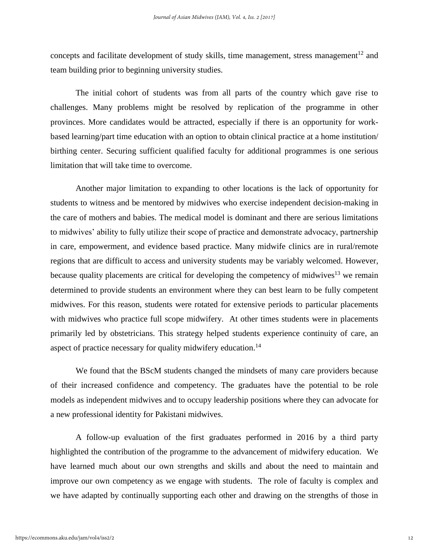concepts and facilitate development of study skills, time management, stress management<sup>12</sup> and team building prior to beginning university studies.

The initial cohort of students was from all parts of the country which gave rise to challenges. Many problems might be resolved by replication of the programme in other provinces. More candidates would be attracted, especially if there is an opportunity for workbased learning/part time education with an option to obtain clinical practice at a home institution/ birthing center. Securing sufficient qualified faculty for additional programmes is one serious limitation that will take time to overcome.

Another major limitation to expanding to other locations is the lack of opportunity for students to witness and be mentored by midwives who exercise independent decision-making in the care of mothers and babies. The medical model is dominant and there are serious limitations to midwives' ability to fully utilize their scope of practice and demonstrate advocacy, partnership in care, empowerment, and evidence based practice. Many midwife clinics are in rural/remote regions that are difficult to access and university students may be variably welcomed. However, because quality placements are critical for developing the competency of midwives $13$  we remain determined to provide students an environment where they can best learn to be fully competent midwives. For this reason, students were rotated for extensive periods to particular placements with midwives who practice full scope midwifery. At other times students were in placements primarily led by obstetricians. This strategy helped students experience continuity of care, an aspect of practice necessary for quality midwifery education.<sup>14</sup>

We found that the BScM students changed the mindsets of many care providers because of their increased confidence and competency. The graduates have the potential to be role models as independent midwives and to occupy leadership positions where they can advocate for a new professional identity for Pakistani midwives.

A follow-up evaluation of the first graduates performed in 2016 by a third party highlighted the contribution of the programme to the advancement of midwifery education. We have learned much about our own strengths and skills and about the need to maintain and improve our own competency as we engage with students. The role of faculty is complex and we have adapted by continually supporting each other and drawing on the strengths of those in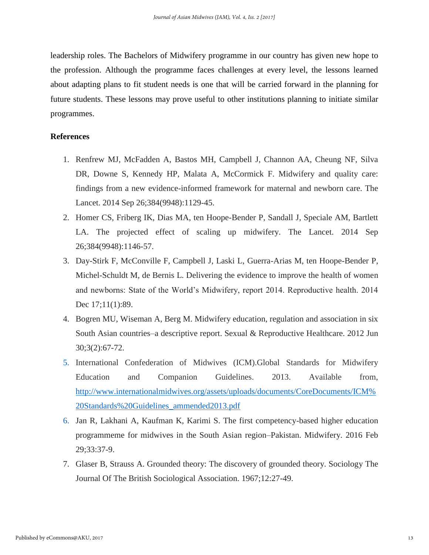leadership roles. The Bachelors of Midwifery programme in our country has given new hope to the profession. Although the programme faces challenges at every level, the lessons learned about adapting plans to fit student needs is one that will be carried forward in the planning for future students. These lessons may prove useful to other institutions planning to initiate similar programmes.

#### **References**

- 1. Renfrew MJ, McFadden A, Bastos MH, Campbell J, Channon AA, Cheung NF, Silva DR, Downe S, Kennedy HP, Malata A, McCormick F. Midwifery and quality care: findings from a new evidence-informed framework for maternal and newborn care. The Lancet. 2014 Sep 26;384(9948):1129-45.
- 2. Homer CS, Friberg IK, Dias MA, ten Hoope-Bender P, Sandall J, Speciale AM, Bartlett LA. The projected effect of scaling up midwifery. The Lancet. 2014 Sep 26;384(9948):1146-57.
- 3. Day-Stirk F, McConville F, Campbell J, Laski L, Guerra-Arias M, ten Hoope-Bender P, Michel-Schuldt M, de Bernis L. Delivering the evidence to improve the health of women and newborns: State of the World's Midwifery, report 2014. Reproductive health. 2014 Dec 17;11(1):89.
- 4. Bogren MU, Wiseman A, Berg M. Midwifery education, regulation and association in six South Asian countries–a descriptive report. Sexual & Reproductive Healthcare. 2012 Jun 30;3(2):67-72.
- 5. International Confederation of Midwives (ICM).Global Standards for Midwifery Education and Companion Guidelines. 2013. Available from, [http://www.internationalmidwives.org/assets/uploads/documents/CoreDocuments/ICM%](http://www.internationalmidwives.org/assets/uploads/documents/CoreDocuments/ICM%20Standards%20Guidelines_ammended2013.pdf) [20Standards%20Guidelines\\_ammended2013.pdf](http://www.internationalmidwives.org/assets/uploads/documents/CoreDocuments/ICM%20Standards%20Guidelines_ammended2013.pdf)
- 6. Jan R, Lakhani A, Kaufman K, Karimi S. The first competency-based higher education programmeme for midwives in the South Asian region–Pakistan. Midwifery. 2016 Feb 29;33:37-9.
- 7. Glaser B, Strauss A. Grounded theory: The discovery of grounded theory. Sociology The Journal Of The British Sociological Association. 1967;12:27-49.